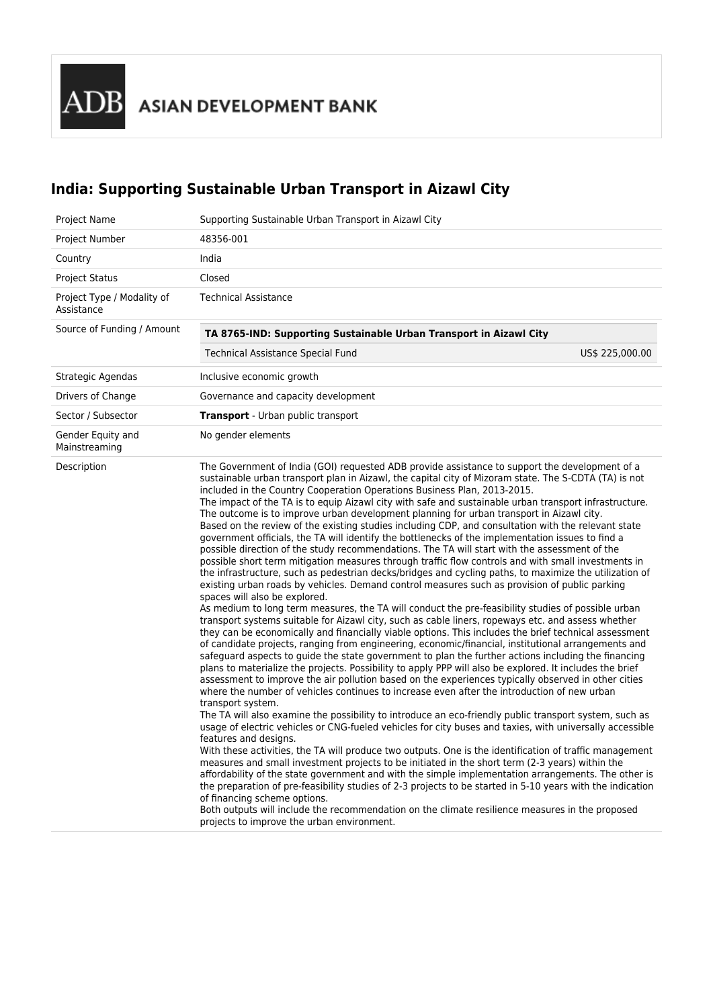# **India: Supporting Sustainable Urban Transport in Aizawl City**

| Project Name                             | Supporting Sustainable Urban Transport in Aizawl City                                                                                                                                                                                                                                                                                                                                                                                                                                                                                                                                                                                                                                                                                                                                                                                                                                                                                                                                                                                                                                                                                                                                                                                                                                                                                                                                                                                                                                                                                                                                                                                                                                                                                                                                                                                                                                                                                                                                                                                                                                                                                                                                                                                                                                                                                                                                                                                                                                                                                                                                                                                                                                                                                                                                                                                                                                                  |                 |
|------------------------------------------|--------------------------------------------------------------------------------------------------------------------------------------------------------------------------------------------------------------------------------------------------------------------------------------------------------------------------------------------------------------------------------------------------------------------------------------------------------------------------------------------------------------------------------------------------------------------------------------------------------------------------------------------------------------------------------------------------------------------------------------------------------------------------------------------------------------------------------------------------------------------------------------------------------------------------------------------------------------------------------------------------------------------------------------------------------------------------------------------------------------------------------------------------------------------------------------------------------------------------------------------------------------------------------------------------------------------------------------------------------------------------------------------------------------------------------------------------------------------------------------------------------------------------------------------------------------------------------------------------------------------------------------------------------------------------------------------------------------------------------------------------------------------------------------------------------------------------------------------------------------------------------------------------------------------------------------------------------------------------------------------------------------------------------------------------------------------------------------------------------------------------------------------------------------------------------------------------------------------------------------------------------------------------------------------------------------------------------------------------------------------------------------------------------------------------------------------------------------------------------------------------------------------------------------------------------------------------------------------------------------------------------------------------------------------------------------------------------------------------------------------------------------------------------------------------------------------------------------------------------------------------------------------------------|-----------------|
| Project Number                           | 48356-001                                                                                                                                                                                                                                                                                                                                                                                                                                                                                                                                                                                                                                                                                                                                                                                                                                                                                                                                                                                                                                                                                                                                                                                                                                                                                                                                                                                                                                                                                                                                                                                                                                                                                                                                                                                                                                                                                                                                                                                                                                                                                                                                                                                                                                                                                                                                                                                                                                                                                                                                                                                                                                                                                                                                                                                                                                                                                              |                 |
| Country                                  | India                                                                                                                                                                                                                                                                                                                                                                                                                                                                                                                                                                                                                                                                                                                                                                                                                                                                                                                                                                                                                                                                                                                                                                                                                                                                                                                                                                                                                                                                                                                                                                                                                                                                                                                                                                                                                                                                                                                                                                                                                                                                                                                                                                                                                                                                                                                                                                                                                                                                                                                                                                                                                                                                                                                                                                                                                                                                                                  |                 |
| <b>Project Status</b>                    | Closed                                                                                                                                                                                                                                                                                                                                                                                                                                                                                                                                                                                                                                                                                                                                                                                                                                                                                                                                                                                                                                                                                                                                                                                                                                                                                                                                                                                                                                                                                                                                                                                                                                                                                                                                                                                                                                                                                                                                                                                                                                                                                                                                                                                                                                                                                                                                                                                                                                                                                                                                                                                                                                                                                                                                                                                                                                                                                                 |                 |
| Project Type / Modality of<br>Assistance | <b>Technical Assistance</b>                                                                                                                                                                                                                                                                                                                                                                                                                                                                                                                                                                                                                                                                                                                                                                                                                                                                                                                                                                                                                                                                                                                                                                                                                                                                                                                                                                                                                                                                                                                                                                                                                                                                                                                                                                                                                                                                                                                                                                                                                                                                                                                                                                                                                                                                                                                                                                                                                                                                                                                                                                                                                                                                                                                                                                                                                                                                            |                 |
| Source of Funding / Amount               | TA 8765-IND: Supporting Sustainable Urban Transport in Aizawl City                                                                                                                                                                                                                                                                                                                                                                                                                                                                                                                                                                                                                                                                                                                                                                                                                                                                                                                                                                                                                                                                                                                                                                                                                                                                                                                                                                                                                                                                                                                                                                                                                                                                                                                                                                                                                                                                                                                                                                                                                                                                                                                                                                                                                                                                                                                                                                                                                                                                                                                                                                                                                                                                                                                                                                                                                                     |                 |
|                                          | <b>Technical Assistance Special Fund</b>                                                                                                                                                                                                                                                                                                                                                                                                                                                                                                                                                                                                                                                                                                                                                                                                                                                                                                                                                                                                                                                                                                                                                                                                                                                                                                                                                                                                                                                                                                                                                                                                                                                                                                                                                                                                                                                                                                                                                                                                                                                                                                                                                                                                                                                                                                                                                                                                                                                                                                                                                                                                                                                                                                                                                                                                                                                               | US\$ 225,000.00 |
| Strategic Agendas                        | Inclusive economic growth                                                                                                                                                                                                                                                                                                                                                                                                                                                                                                                                                                                                                                                                                                                                                                                                                                                                                                                                                                                                                                                                                                                                                                                                                                                                                                                                                                                                                                                                                                                                                                                                                                                                                                                                                                                                                                                                                                                                                                                                                                                                                                                                                                                                                                                                                                                                                                                                                                                                                                                                                                                                                                                                                                                                                                                                                                                                              |                 |
| Drivers of Change                        | Governance and capacity development                                                                                                                                                                                                                                                                                                                                                                                                                                                                                                                                                                                                                                                                                                                                                                                                                                                                                                                                                                                                                                                                                                                                                                                                                                                                                                                                                                                                                                                                                                                                                                                                                                                                                                                                                                                                                                                                                                                                                                                                                                                                                                                                                                                                                                                                                                                                                                                                                                                                                                                                                                                                                                                                                                                                                                                                                                                                    |                 |
| Sector / Subsector                       | <b>Transport</b> - Urban public transport                                                                                                                                                                                                                                                                                                                                                                                                                                                                                                                                                                                                                                                                                                                                                                                                                                                                                                                                                                                                                                                                                                                                                                                                                                                                                                                                                                                                                                                                                                                                                                                                                                                                                                                                                                                                                                                                                                                                                                                                                                                                                                                                                                                                                                                                                                                                                                                                                                                                                                                                                                                                                                                                                                                                                                                                                                                              |                 |
| Gender Equity and<br>Mainstreaming       | No gender elements                                                                                                                                                                                                                                                                                                                                                                                                                                                                                                                                                                                                                                                                                                                                                                                                                                                                                                                                                                                                                                                                                                                                                                                                                                                                                                                                                                                                                                                                                                                                                                                                                                                                                                                                                                                                                                                                                                                                                                                                                                                                                                                                                                                                                                                                                                                                                                                                                                                                                                                                                                                                                                                                                                                                                                                                                                                                                     |                 |
| Description                              | The Government of India (GOI) requested ADB provide assistance to support the development of a<br>sustainable urban transport plan in Aizawl, the capital city of Mizoram state. The S-CDTA (TA) is not<br>included in the Country Cooperation Operations Business Plan, 2013-2015.<br>The impact of the TA is to equip Aizawl city with safe and sustainable urban transport infrastructure.<br>The outcome is to improve urban development planning for urban transport in Aizawl city.<br>Based on the review of the existing studies including CDP, and consultation with the relevant state<br>government officials, the TA will identify the bottlenecks of the implementation issues to find a<br>possible direction of the study recommendations. The TA will start with the assessment of the<br>possible short term mitigation measures through traffic flow controls and with small investments in<br>the infrastructure, such as pedestrian decks/bridges and cycling paths, to maximize the utilization of<br>existing urban roads by vehicles. Demand control measures such as provision of public parking<br>spaces will also be explored.<br>As medium to long term measures, the TA will conduct the pre-feasibility studies of possible urban<br>transport systems suitable for Aizawl city, such as cable liners, ropeways etc. and assess whether<br>they can be economically and financially viable options. This includes the brief technical assessment<br>of candidate projects, ranging from engineering, economic/financial, institutional arrangements and<br>safeguard aspects to guide the state government to plan the further actions including the financing<br>plans to materialize the projects. Possibility to apply PPP will also be explored. It includes the brief<br>assessment to improve the air pollution based on the experiences typically observed in other cities<br>where the number of vehicles continues to increase even after the introduction of new urban<br>transport system.<br>The TA will also examine the possibility to introduce an eco-friendly public transport system, such as<br>usage of electric vehicles or CNG-fueled vehicles for city buses and taxies, with universally accessible<br>features and designs.<br>With these activities, the TA will produce two outputs. One is the identification of traffic management<br>measures and small investment projects to be initiated in the short term (2-3 years) within the<br>affordability of the state government and with the simple implementation arrangements. The other is<br>the preparation of pre-feasibility studies of 2-3 projects to be started in 5-10 years with the indication<br>of financing scheme options.<br>Both outputs will include the recommendation on the climate resilience measures in the proposed<br>projects to improve the urban environment. |                 |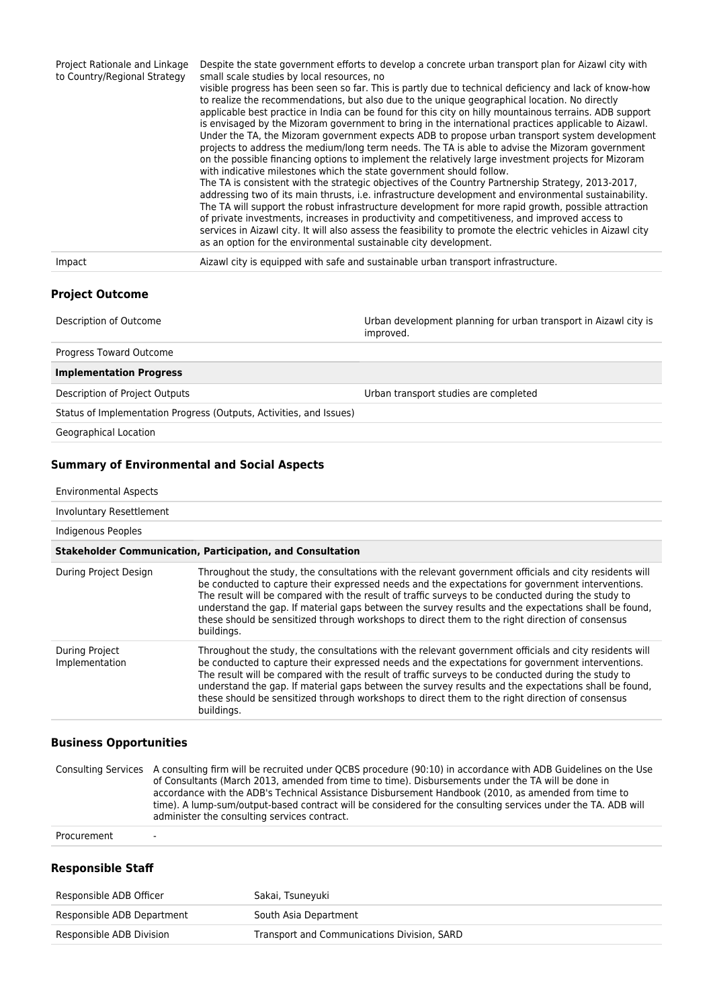| Project Rationale and Linkage<br>to Country/Regional Strategy | Despite the state government efforts to develop a concrete urban transport plan for Aizawl city with<br>small scale studies by local resources, no<br>visible progress has been seen so far. This is partly due to technical deficiency and lack of know-how<br>to realize the recommendations, but also due to the unique geographical location. No directly<br>applicable best practice in India can be found for this city on hilly mountainous terrains. ADB support<br>is envisaged by the Mizoram government to bring in the international practices applicable to Aizawl.<br>Under the TA, the Mizoram government expects ADB to propose urban transport system development<br>projects to address the medium/long term needs. The TA is able to advise the Mizoram government<br>on the possible financing options to implement the relatively large investment projects for Mizoram<br>with indicative milestones which the state government should follow.<br>The TA is consistent with the strategic objectives of the Country Partnership Strategy, 2013-2017,<br>addressing two of its main thrusts, i.e. infrastructure development and environmental sustainability.<br>The TA will support the robust infrastructure development for more rapid growth, possible attraction<br>of private investments, increases in productivity and competitiveness, and improved access to<br>services in Aizawl city. It will also assess the feasibility to promote the electric vehicles in Aizawl city<br>as an option for the environmental sustainable city development. |
|---------------------------------------------------------------|----------------------------------------------------------------------------------------------------------------------------------------------------------------------------------------------------------------------------------------------------------------------------------------------------------------------------------------------------------------------------------------------------------------------------------------------------------------------------------------------------------------------------------------------------------------------------------------------------------------------------------------------------------------------------------------------------------------------------------------------------------------------------------------------------------------------------------------------------------------------------------------------------------------------------------------------------------------------------------------------------------------------------------------------------------------------------------------------------------------------------------------------------------------------------------------------------------------------------------------------------------------------------------------------------------------------------------------------------------------------------------------------------------------------------------------------------------------------------------------------------------------------------------------------------------------------------------|
| Impact                                                        | Aizawl city is equipped with safe and sustainable urban transport infrastructure.                                                                                                                                                                                                                                                                                                                                                                                                                                                                                                                                                                                                                                                                                                                                                                                                                                                                                                                                                                                                                                                                                                                                                                                                                                                                                                                                                                                                                                                                                                |

## **Project Outcome**

| Description of Outcome         | Urban development planning for urban transport in Aizawl city is<br>improved. |
|--------------------------------|-------------------------------------------------------------------------------|
| Progress Toward Outcome        |                                                                               |
| <b>Implementation Progress</b> |                                                                               |

Description of Project Outputs Urban transport studies are completed

Status of Implementation Progress (Outputs, Activities, and Issues)

Geographical Location

# **Summary of Environmental and Social Aspects**

| Involuntary Resettlement         |                                                                                                                                                                                                                                                                                                                                                                                                                                                                                                                                           |
|----------------------------------|-------------------------------------------------------------------------------------------------------------------------------------------------------------------------------------------------------------------------------------------------------------------------------------------------------------------------------------------------------------------------------------------------------------------------------------------------------------------------------------------------------------------------------------------|
| Indigenous Peoples               |                                                                                                                                                                                                                                                                                                                                                                                                                                                                                                                                           |
|                                  | <b>Stakeholder Communication, Participation, and Consultation</b>                                                                                                                                                                                                                                                                                                                                                                                                                                                                         |
| During Project Design            | Throughout the study, the consultations with the relevant government officials and city residents will<br>be conducted to capture their expressed needs and the expectations for government interventions.<br>The result will be compared with the result of traffic surveys to be conducted during the study to<br>understand the gap. If material gaps between the survey results and the expectations shall be found,<br>these should be sensitized through workshops to direct them to the right direction of consensus<br>buildings. |
| During Project<br>Implementation | Throughout the study, the consultations with the relevant government officials and city residents will<br>be conducted to capture their expressed needs and the expectations for government interventions.<br>The result will be compared with the result of traffic surveys to be conducted during the study to<br>understand the gap. If material gaps between the survey results and the expectations shall be found,<br>these should be sensitized through workshops to direct them to the right direction of consensus<br>buildings. |

#### Consulting Services A consulting firm will be recruited under QCBS procedure (90:10) in accordance with ADB Guidelines on the Use of Consultants (March 2013, amended from time to time). Disbursements under the TA will be done in accordance with the ADB's Technical Assistance Disbursement Handbook (2010, as amended from time to time). A lump-sum/output-based contract will be considered for the consulting services under the TA. ADB will administer the consulting services contract. Procurement -

# **Responsible Staff**

| Responsible ADB Officer    | Sakai, Tsuneyuki                            |
|----------------------------|---------------------------------------------|
| Responsible ADB Department | South Asia Department                       |
| Responsible ADB Division   | Transport and Communications Division, SARD |